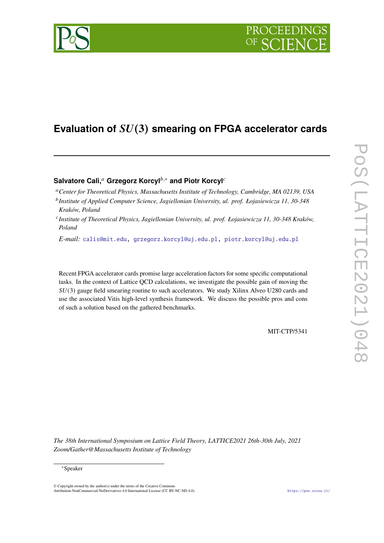

# Evaluation of  $SU(3)$  smearing on FPGA accelerator cards

## **Salvatore Calì.**<sup>a</sup> Grzegorz Korcyl<sup>*b*,∗</sup> and Piotr Korcyl<sup>c</sup>

<sup>a</sup> Center for Theoretical Physics, Massachusetts Institute of Technology, Cambridge, MA 02139, USA

- <sup>b</sup> Institute of Applied Computer Science, Jagiellonian University, ul. prof. Łojasiewicza 11, 30-348 *Kraków, Poland*
- 𝑐 *Institute of Theoretical Physics, Jagiellonian University, ul. prof. Łojasiewicza 11, 30-348 Kraków, Poland*

*E-mail:* [calis@mit.edu,](mailto:calis@mit.edu) [grzegorz.korcyl@uj.edu.pl,](mailto:grzegorz.korcyl@uj.edu.pl) [piotr.korcyl@uj.edu.pl](mailto:piotr.korcyl@uj.edu.pl)

Recent FPGA accelerator cards promise large acceleration factors for some specific computational tasks. In the context of Lattice QCD calculations, we investigate the possible gain of moving the  $SU(3)$  gauge field smearing routine to such accelerators. We study Xilinx Alveo U280 cards and use the associated Vitis high-level synthesis framework. We discuss the possible pros and cons of such a solution based on the gathered benchmarks.

MIT-CTP/5341

*The 38th International Symposium on Lattice Field Theory, LATTICE2021 26th-30th July, 2021 Zoom/Gather@Massachusetts Institute of Technology*

© Copyright owned by the author(s) under the terms of the Creative Commons Attribution-NonCommercial-NoDerivatives 4.0 International License (CC BY-NC-ND 4.0). <https://pos.sissa.it/>

<sup>∗</sup>Speaker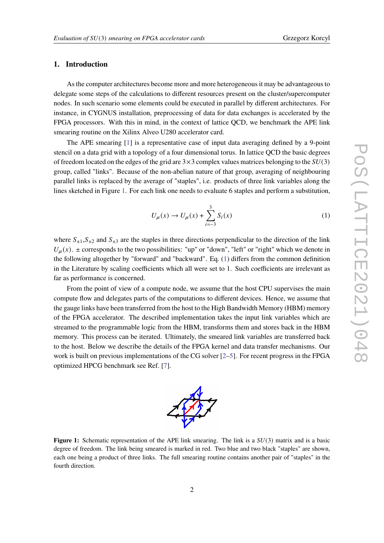## **1. Introduction**

As the computer architectures become more and more heterogeneous it may be advantageous to delegate some steps of the calculations to different resources present on the cluster/supercomputer nodes. In such scenario some elements could be executed in parallel by different architectures. For instance, in CYGNUS installation, preprocessing of data for data exchanges is accelerated by the FPGA processors. With this in mind, in the context of lattice QCD, we benchmark the APE link smearing routine on the Xilinx Alveo U280 accelerator card.

The APE smearing [\[1\]](#page-6-0) is a representative case of input data averaging defined by a 9-point stencil on a data grid with a topology of a four dimensional torus. In lattice QCD the basic degrees of freedom located on the edges of the grid are  $3\times 3$  complex values matrices belonging to the  $SU(3)$ group, called "links". Because of the non-abelian nature of that group, averaging of neighbouring parallel links is replaced by the average of "staples", i.e. products of three link variables along the lines sketched in Figure [1.](#page-1-0) For each link one needs to evaluate 6 staples and perform a substitution,

<span id="page-1-1"></span>
$$
U_{\mu}(x) \to U_{\mu}(x) + \sum_{i=-3}^{3} S_i(x)
$$
 (1)

where  $S_{\pm 1}$ ,  $S_{\pm 2}$  and  $S_{\pm 3}$  are the staples in three directions perpendicular to the direction of the link  $U_{\mu}(x)$ .  $\pm$  corresponds to the two possibilities: "up" or "down", "left" or "right" which we denote in the following altogether by "forward" and "backward". Eq. [\(1\)](#page-1-1) differs from the common definition in the Literature by scaling coefficients which all were set to 1. Such coefficients are irrelevant as far as performance is concerned.

From the point of view of a compute node, we assume that the host CPU supervises the main compute flow and delegates parts of the computations to different devices. Hence, we assume that the gauge links have been transferred from the host to the High Bandwidth Memory (HBM) memory of the FPGA accelerator. The described implementation takes the input link variables which are streamed to the programmable logic from the HBM, transforms them and stores back in the HBM memory. This process can be iterated. Ultimately, the smeared link variables are transferred back to the host. Below we describe the details of the FPGA kernel and data transfer mechanisms. Our work is built on previous implementations of the CG solver  $[2-5]$  $[2-5]$ . For recent progress in the FPGA optimized HPCG benchmark see Ref. [\[7\]](#page-7-1).

<span id="page-1-0"></span>**Figure 1:** Schematic representation of the APE link smearing. The link is a  $SU(3)$  matrix and is a basic degree of freedom. The link being smeared is marked in red. Two blue and two black "staples" are shown, each one being a product of three links. The full smearing routine contains another pair of "staples" in the fourth direction.

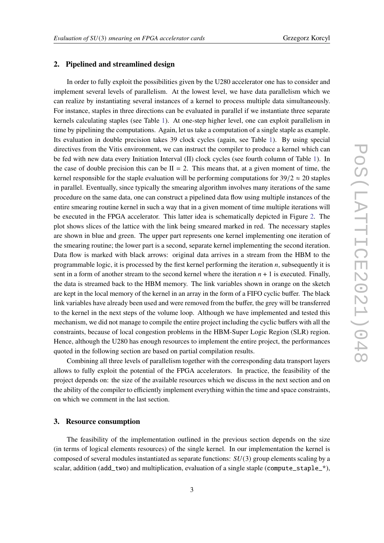#### **2. Pipelined and streamlined design**

In order to fully exploit the possibilities given by the U280 accelerator one has to consider and implement several levels of parallelism. At the lowest level, we have data parallelism which we can realize by instantiating several instances of a kernel to process multiple data simultaneously. For instance, staples in three directions can be evaluated in parallel if we instantiate three separate kernels calculating staples (see Table [1\)](#page-3-0). At one-step higher level, one can exploit parallelism in time by pipelining the computations. Again, let us take a computation of a single staple as example. Its evaluation in double precision takes 39 clock cycles (again, see Table [1\)](#page-3-0). By using special directives from the Vitis environment, we can instruct the compiler to produce a kernel which can be fed with new data every Initiation Interval (II) clock cycles (see fourth column of Table [1\)](#page-3-0). In the case of double precision this can be  $II = 2$ . This means that, at a given moment of time, the kernel responsible for the staple evaluation will be performing computations for  $39/2 \approx 20$  staples in parallel. Eventually, since typically the smearing algorithm involves many iterations of the same procedure on the same data, one can construct a pipelined data flow using multiple instances of the entire smearing routine kernel in such a way that in a given moment of time multiple iterations will be executed in the FPGA accelerator. This latter idea is schematically depicted in Figure [2.](#page-3-1) The plot shows slices of the lattice with the link being smeared marked in red. The necessary staples are shown in blue and green. The upper part represents one kernel implementing one iteration of the smearing routine; the lower part is a second, separate kernel implementing the second iteration. Data flow is marked with black arrows: original data arrives in a stream from the HBM to the programmable logic, it is processed by the first kernel performing the iteration  $n$ , subsequently it is sent in a form of another stream to the second kernel where the iteration  $n + 1$  is executed. Finally, the data is streamed back to the HBM memory. The link variables shown in orange on the sketch are kept in the local memory of the kernel in an array in the form of a FIFO cyclic buffer. The black link variables have already been used and were removed from the buffer, the grey will be transferred to the kernel in the next steps of the volume loop. Although we have implemented and tested this mechanism, we did not manage to compile the entire project including the cyclic buffers with all the constraints, because of local congestion problems in the HBM-Super Logic Region (SLR) region. Hence, although the U280 has enough resources to implement the entire project, the performances quoted in the following section are based on partial compilation results.

Combining all three levels of parallelism together with the corresponding data transport layers allows to fully exploit the potential of the FPGA accelerators. In practice, the feasibility of the project depends on: the size of the available resources which we discuss in the next section and on the ability of the compiler to efficiently implement everything within the time and space constraints, on which we comment in the last section.

#### **3. Resource consumption**

The feasibility of the implementation outlined in the previous section depends on the size (in terms of logical elements resources) of the single kernel. In our implementation the kernel is composed of several modules instantiated as separate functions:  $SU(3)$  group elements scaling by a scalar, addition ( $add\_two$ ) and multiplication, evaluation of a single staple ( $compute\_staple\_*)$ ,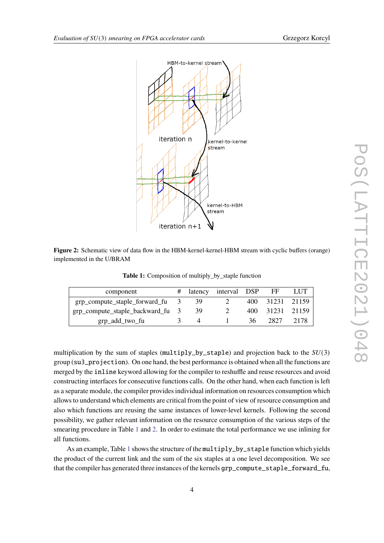

<span id="page-3-1"></span>

<span id="page-3-0"></span>**Figure 2:** Schematic view of data flow in the HBM-kernel-kernel-HBM stream with cyclic buffers (orange) implemented in the U/BRAM

**Table 1:** Composition of multiply\_by\_staple function

| component                        |                          |    | # latency interval DSP FF |     |                 | LUT  |
|----------------------------------|--------------------------|----|---------------------------|-----|-----------------|------|
| grp_compute_staple_forward_fu    | $\overline{\mathcal{Z}}$ | 39 |                           |     | 400 31231 21159 |      |
| grp_compute_staple_backward_fu 3 |                          | 39 |                           |     | 400 31231 21159 |      |
| grp_add_two_fu                   |                          |    |                           | 36- | 2827            | 2178 |

multiplication by the sum of staples (multiply\_by\_staple) and projection back to the  $SU(3)$ group (su3\_projection). On one hand, the best performance is obtained when all the functions are merged by the inline keyword allowing for the compiler to reshuffle and reuse resources and avoid constructing interfaces for consecutive functions calls. On the other hand, when each function is left as a separate module, the compiler provides individual information on resources consumption which allows to understand which elements are critical from the point of view of resource consumption and also which functions are reusing the same instances of lower-level kernels. Following the second possibility, we gather relevant information on the resource consumption of the various steps of the smearing procedure in Table [1](#page-3-0) and [2.](#page-4-0) In order to estimate the total performance we use inlining for all functions.

As an example, Table [1](#page-3-0) shows the structure of the multiply by staple function which yields the product of the current link and the sum of the six staples at a one level decomposition. We see that the compiler has generated three instances of the kernels grp\_compute\_staple\_forward\_fu,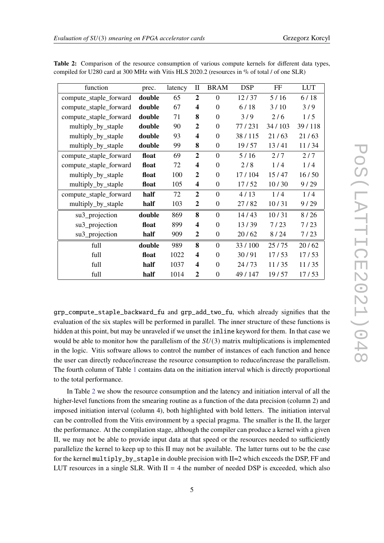| function               | prec.  | latency | П                       | <b>BRAM</b>    | <b>DSP</b> | FF     | <b>LUT</b> |
|------------------------|--------|---------|-------------------------|----------------|------------|--------|------------|
| compute_staple_forward | double | 65      | $\overline{2}$          | $\Omega$       | 12/37      | 5/16   | 6/18       |
| compute_staple_forward | double | 67      | $\overline{\mathbf{4}}$ | $\Omega$       | 6/18       | 3/10   | 3/9        |
| compute_staple_forward | double | 71      | 8                       | $\Omega$       | 3/9        | 2/6    | 1/5        |
| multiply_by_staple     | double | 90      | $\boldsymbol{2}$        | $\Omega$       | 77/231     | 34/103 | 39/118     |
| multiply_by_staple     | double | 93      | $\overline{\mathbf{4}}$ | $\Omega$       | 38/115     | 21/63  | 21/63      |
| multiply_by_staple     | double | 99      | 8                       | $\overline{0}$ | 19/57      | 13/41  | 11/34      |
| compute_staple_forward | float  | 69      | $\overline{2}$          | $\Omega$       | 5/16       | 2/7    | 2/7        |
| compute_staple_forward | float  | 72      | $\overline{\mathbf{4}}$ | $\theta$       | 2/8        | 1/4    | 1/4        |
| multiply_by_staple     | float  | 100     | $\overline{2}$          | $\Omega$       | 17/104     | 15/47  | 16/50      |
| multiply_by_staple     | float  | 105     | $\overline{\mathbf{4}}$ | $\Omega$       | 17/52      | 10/30  | 9/29       |
| compute_staple_forward | half   | 72      | $\overline{2}$          | $\Omega$       | 4/13       | 1/4    | 1/4        |
| multiply_by_staple     | half   | 103     | $\boldsymbol{2}$        | $\overline{0}$ | 27/82      | 10/31  | 9/29       |
| su3_projection         | double | 869     | 8                       | $\overline{0}$ | 14/43      | 10/31  | 8/26       |
| su3_projection         | float  | 899     | $\overline{\mathbf{4}}$ | $\theta$       | 13/39      | 7/23   | 7/23       |
| su3_projection         | half   | 909     | $\overline{2}$          | $\overline{0}$ | 20/62      | 8/24   | 7/23       |
| full                   | double | 989     | 8                       | $\theta$       | 33/100     | 25/75  | 20/62      |
| full                   | float  | 1022    | $\overline{\mathbf{4}}$ | $\overline{0}$ | 30/91      | 17/53  | 17/53      |
| full                   | half   | 1037    | 4                       | $\Omega$       | 24/73      | 11/35  | 11/35      |
| full                   | half   | 1014    | $\overline{2}$          | $\theta$       | 49/147     | 19/57  | 17/53      |

<span id="page-4-0"></span>**Table 2:** Comparison of the resource consumption of various compute kernels for different data types, compiled for U280 card at 300 MHz with Vitis HLS 2020.2 (resources in % of total / of one SLR)

grp\_compute\_staple\_backward\_fu and grp\_add\_two\_fu, which already signifies that the evaluation of the six staples will be performed in parallel. The inner structure of these functions is hidden at this point, but may be unraveled if we unset the inline keyword for them. In that case we would be able to monitor how the parallelism of the  $SU(3)$  matrix multiplications is implemented in the logic. Vitis software allows to control the number of instances of each function and hence the user can directly reduce/increase the resource consumption to reduce/increase the parallelism. The fourth column of Table [1](#page-3-0) contains data on the initiation interval which is directly proportional to the total performance.

In Table [2](#page-4-0) we show the resource consumption and the latency and initiation interval of all the higher-level functions from the smearing routine as a function of the data precision (column 2) and imposed initiation interval (column 4), both highlighted with bold letters. The initiation interval can be controlled from the Vitis environment by a special pragma. The smaller is the II, the larger the performance. At the compilation stage, although the compiler can produce a kernel with a given II, we may not be able to provide input data at that speed or the resources needed to sufficiently parallelize the kernel to keep up to this II may not be available. The latter turns out to be the case for the kernel multiply\_by\_staple in double precision with II=2 which exceeds the DSP, FF and LUT resources in a single SLR. With  $II = 4$  the number of needed DSP is exceeded, which also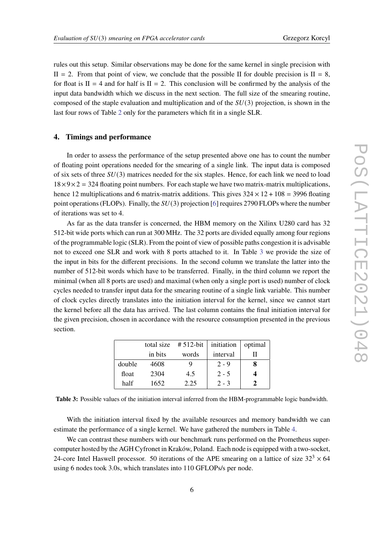rules out this setup. Similar observations may be done for the same kernel in single precision with  $II = 2$ . From that point of view, we conclude that the possible II for double precision is  $II = 8$ , for float is  $II = 4$  and for half is  $II = 2$ . This conclusion will be confirmed by the analysis of the input data bandwidth which we discuss in the next section. The full size of the smearing routine, composed of the staple evaluation and multiplication and of the  $SU(3)$  projection, is shown in the last four rows of Table [2](#page-4-0) only for the parameters which fit in a single SLR.

#### **4. Timings and performance**

In order to assess the performance of the setup presented above one has to count the number of floating point operations needed for the smearing of a single link. The input data is composed of six sets of three  $SU(3)$  matrices needed for the six staples. Hence, for each link we need to load  $18\times9\times2 = 324$  floating point numbers. For each staple we have two matrix-matrix multiplications, hence 12 multiplications and 6 matrix-matrix additions. This gives  $324 \times 12 + 108 = 3996$  floating point operations (FLOPs). Finally, the  $SU(3)$  projection [\[6\]](#page-7-2) requires 2790 FLOPs where the number of iterations was set to 4.

As far as the data transfer is concerned, the HBM memory on the Xilinx U280 card has 32 512-bit wide ports which can run at 300 MHz. The 32 ports are divided equally among four regions of the programmable logic (SLR). From the point of view of possible paths congestion it is advisable not to exceed one SLR and work with 8 ports attached to it. In Table [3](#page-5-0) we provide the size of the input in bits for the different precisions. In the second column we translate the latter into the number of 512-bit words which have to be transferred. Finally, in the third column we report the minimal (when all 8 ports are used) and maximal (when only a single port is used) number of clock cycles needed to transfer input data for the smearing routine of a single link variable. This number of clock cycles directly translates into the initiation interval for the kernel, since we cannot start the kernel before all the data has arrived. The last column contains the final initiation interval for the given precision, chosen in accordance with the resource consumption presented in the previous section.

<span id="page-5-0"></span>

|        | total size | # 512-bit | initiation | optimal |
|--------|------------|-----------|------------|---------|
|        | in bits    | words     | interval   |         |
| double | 4608       | Q         | $2 - 9$    | 8       |
| float  | 2304       | 4.5       | $2 - 5$    |         |
| half   | 1652       | 2.25      | $2 - 3$    |         |

**Table 3:** Possible values of the initiation interval inferred from the HBM-programmable logic bandwidth.

With the initiation interval fixed by the available resources and memory bandwidth we can estimate the performance of a single kernel. We have gathered the numbers in Table [4.](#page-6-2)

We can contrast these numbers with our benchmark runs performed on the Prometheus supercomputer hosted by the AGH Cyfronet in Kraków, Poland. Each node is equipped with a two-socket, 24-core Intel Haswell processor. 50 iterations of the APE smearing on a lattice of size  $32<sup>3</sup> \times 64$ using 6 nodes took 3.0s, which translates into 110 GFLOPs/s per node.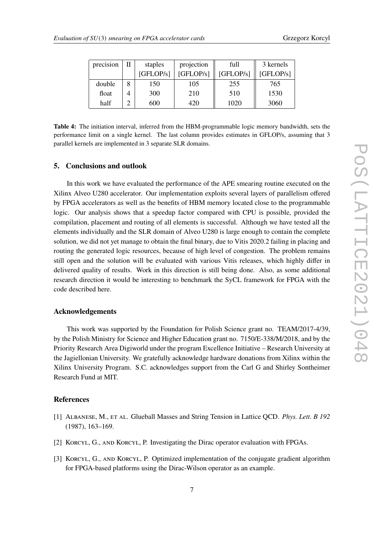| Grzegorz Korcyl |  |
|-----------------|--|
|-----------------|--|

<span id="page-6-2"></span>

| precision | Н | staples   | projection | full      | 3 kernels |
|-----------|---|-----------|------------|-----------|-----------|
|           |   | [GFLOP/s] | [GFLOP/s]  | [GFLOP/s] | [GFLOP/s] |
| double    | 8 | 150       | 105        | 255       | 765       |
| float     | 4 | 300       | 210        | 510       | 1530      |
| half      |   | 600       | 420        | 1020      | 3060      |

**Table 4:** The initiation interval, inferred from the HBM-programmable logic memory bandwidth, sets the performance limit on a single kernel. The last column provides estimates in GFLOP/s, assuming that 3 parallel kernels are implemented in 3 separate SLR domains.

#### **5. Conclusions and outlook**

In this work we have evaluated the performance of the APE smearing routine executed on the Xilinx Alveo U280 accelerator. Our implementation exploits several layers of parallelism offered by FPGA accelerators as well as the benefits of HBM memory located close to the programmable logic. Our analysis shows that a speedup factor compared with CPU is possible, provided the compilation, placement and routing of all elements is successful. Although we have tested all the elements individually and the SLR domain of Alveo U280 is large enough to contain the complete solution, we did not yet manage to obtain the final binary, due to Vitis 2020.2 failing in placing and routing the generated logic resources, because of high level of congestion. The problem remains still open and the solution will be evaluated with various Vitis releases, which highly differ in delivered quality of results. Work in this direction is still being done. Also, as some additional research direction it would be interesting to benchmark the SyCL framework for FPGA with the code described here.

#### **Acknowledgements**

This work was supported by the Foundation for Polish Science grant no. TEAM/2017-4/39, by the Polish Ministry for Science and Higher Education grant no. 7150/E-338/M/2018, and by the Priority Research Area Digiworld under the program Excellence Initiative – Research University at the Jagiellonian University. We gratefully acknowledge hardware donations from Xilinx within the Xilinx University Program. S.C. acknowledges support from the Carl G and Shirley Sontheimer Research Fund at MIT.

### **References**

- <span id="page-6-0"></span>[1] Albanese, M., et al. Glueball Masses and String Tension in Lattice QCD. *Phys. Lett. B 192* (1987), 163–169.
- <span id="page-6-1"></span>[2] KORCYL, G., AND KORCYL, P. Investigating the Dirac operator evaluation with FPGAs.
- [3] Korcyl, G., and Korcyl, P. Optimized implementation of the conjugate gradient algorithm for FPGA-based platforms using the Dirac-Wilson operator as an example.